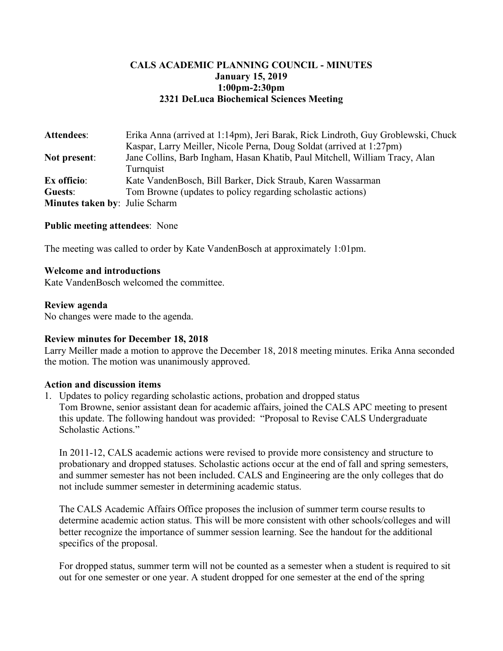# **CALS ACADEMIC PLANNING COUNCIL - MINUTES January 15, 2019 1:00pm-2:30pm 2321 DeLuca Biochemical Sciences Meeting**

| <b>Attendees:</b>                     | Erika Anna (arrived at 1:14pm), Jeri Barak, Rick Lindroth, Guy Groblewski, Chuck |
|---------------------------------------|----------------------------------------------------------------------------------|
|                                       | Kaspar, Larry Meiller, Nicole Perna, Doug Soldat (arrived at 1:27pm)             |
| <b>Not present:</b>                   | Jane Collins, Barb Ingham, Hasan Khatib, Paul Mitchell, William Tracy, Alan      |
|                                       | Turnquist                                                                        |
| Ex officio:                           | Kate VandenBosch, Bill Barker, Dick Straub, Karen Wassarman                      |
| Guests:                               | Tom Browne (updates to policy regarding scholastic actions)                      |
| <b>Minutes taken by: Julie Scharm</b> |                                                                                  |

## **Public meeting attendees**: None

The meeting was called to order by Kate VandenBosch at approximately 1:01pm.

## **Welcome and introductions**

Kate VandenBosch welcomed the committee.

#### **Review agenda**

No changes were made to the agenda.

#### **Review minutes for December 18, 2018**

Larry Meiller made a motion to approve the December 18, 2018 meeting minutes. Erika Anna seconded the motion. The motion was unanimously approved.

## **Action and discussion items**

1. Updates to policy regarding scholastic actions, probation and dropped status Tom Browne, senior assistant dean for academic affairs, joined the CALS APC meeting to present this update. The following handout was provided: "Proposal to Revise CALS Undergraduate Scholastic Actions."

In 2011-12, CALS academic actions were revised to provide more consistency and structure to probationary and dropped statuses. Scholastic actions occur at the end of fall and spring semesters, and summer semester has not been included. CALS and Engineering are the only colleges that do not include summer semester in determining academic status.

The CALS Academic Affairs Office proposes the inclusion of summer term course results to determine academic action status. This will be more consistent with other schools/colleges and will better recognize the importance of summer session learning. See the handout for the additional specifics of the proposal.

For dropped status, summer term will not be counted as a semester when a student is required to sit out for one semester or one year. A student dropped for one semester at the end of the spring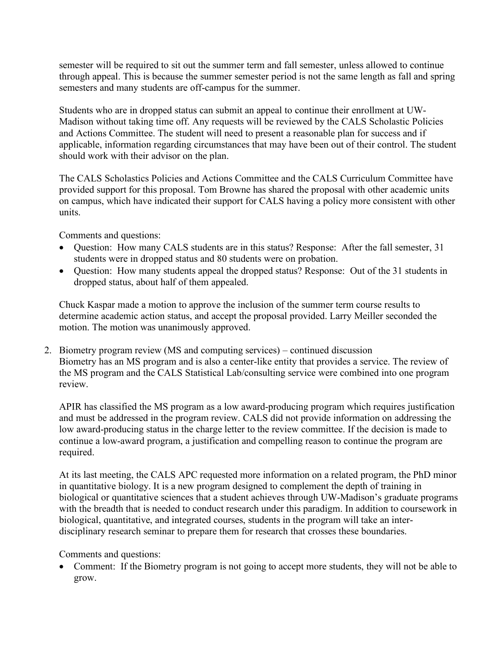semester will be required to sit out the summer term and fall semester, unless allowed to continue through appeal. This is because the summer semester period is not the same length as fall and spring semesters and many students are off-campus for the summer.

Students who are in dropped status can submit an appeal to continue their enrollment at UW-Madison without taking time off. Any requests will be reviewed by the CALS Scholastic Policies and Actions Committee. The student will need to present a reasonable plan for success and if applicable, information regarding circumstances that may have been out of their control. The student should work with their advisor on the plan.

The CALS Scholastics Policies and Actions Committee and the CALS Curriculum Committee have provided support for this proposal. Tom Browne has shared the proposal with other academic units on campus, which have indicated their support for CALS having a policy more consistent with other units.

Comments and questions:

- Question: How many CALS students are in this status? Response: After the fall semester, 31 students were in dropped status and 80 students were on probation.
- Question: How many students appeal the dropped status? Response: Out of the 31 students in dropped status, about half of them appealed.

Chuck Kaspar made a motion to approve the inclusion of the summer term course results to determine academic action status, and accept the proposal provided. Larry Meiller seconded the motion. The motion was unanimously approved.

2. Biometry program review (MS and computing services) – continued discussion Biometry has an MS program and is also a center-like entity that provides a service. The review of the MS program and the CALS Statistical Lab/consulting service were combined into one program review.

APIR has classified the MS program as a low award-producing program which requires justification and must be addressed in the program review. CALS did not provide information on addressing the low award-producing status in the charge letter to the review committee. If the decision is made to continue a low-award program, a justification and compelling reason to continue the program are required.

At its last meeting, the CALS APC requested more information on a related program, the PhD minor in quantitative biology. It is a new program designed to complement the depth of training in biological or quantitative sciences that a student achieves through UW-Madison's graduate programs with the breadth that is needed to conduct research under this paradigm. In addition to coursework in biological, quantitative, and integrated courses, students in the program will take an interdisciplinary research seminar to prepare them for research that crosses these boundaries.

Comments and questions:

• Comment: If the Biometry program is not going to accept more students, they will not be able to grow.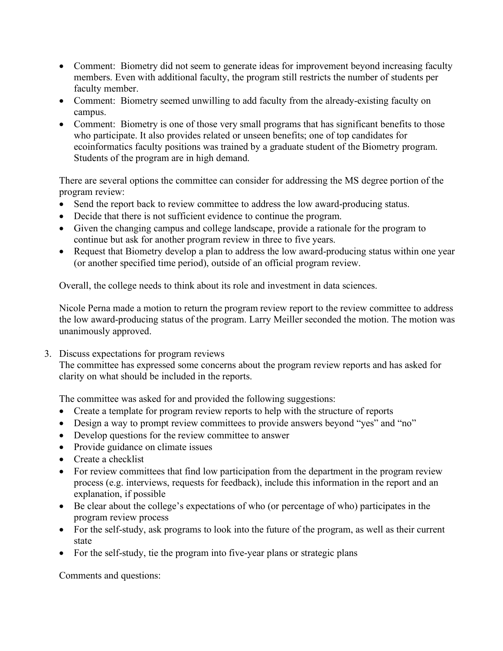- Comment: Biometry did not seem to generate ideas for improvement beyond increasing faculty members. Even with additional faculty, the program still restricts the number of students per faculty member.
- Comment: Biometry seemed unwilling to add faculty from the already-existing faculty on campus.
- Comment: Biometry is one of those very small programs that has significant benefits to those who participate. It also provides related or unseen benefits; one of top candidates for ecoinformatics faculty positions was trained by a graduate student of the Biometry program. Students of the program are in high demand.

There are several options the committee can consider for addressing the MS degree portion of the program review:

- Send the report back to review committee to address the low award-producing status.
- Decide that there is not sufficient evidence to continue the program.
- Given the changing campus and college landscape, provide a rationale for the program to continue but ask for another program review in three to five years.
- Request that Biometry develop a plan to address the low award-producing status within one year (or another specified time period), outside of an official program review.

Overall, the college needs to think about its role and investment in data sciences.

Nicole Perna made a motion to return the program review report to the review committee to address the low award-producing status of the program. Larry Meiller seconded the motion. The motion was unanimously approved.

3. Discuss expectations for program reviews

The committee has expressed some concerns about the program review reports and has asked for clarity on what should be included in the reports.

The committee was asked for and provided the following suggestions:

- Create a template for program review reports to help with the structure of reports
- Design a way to prompt review committees to provide answers beyond "yes" and "no"
- Develop questions for the review committee to answer
- Provide guidance on climate issues
- Create a checklist
- For review committees that find low participation from the department in the program review process (e.g. interviews, requests for feedback), include this information in the report and an explanation, if possible
- Be clear about the college's expectations of who (or percentage of who) participates in the program review process
- For the self-study, ask programs to look into the future of the program, as well as their current state
- For the self-study, tie the program into five-year plans or strategic plans

Comments and questions: